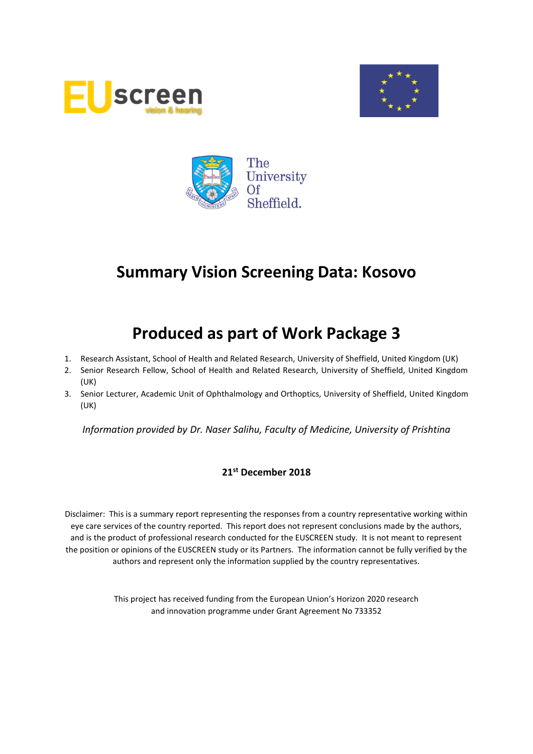





# **Produced as part of Work Package 3**

- 1. Research Assistant, School of Health and Related Research, University of Sheffield, United Kingdom (UK)
- 2. Senior Research Fellow, School of Health and Related Research, University of Sheffield, United Kingdom (UK)
- 3. Senior Lecturer, Academic Unit of Ophthalmology and Orthoptics, University of Sheffield, United Kingdom (UK)

*Information provided by Dr. Naser Salihu, Faculty of Medicine, University of Prishtina*

## **21st December 2018**

Disclaimer: This is a summary report representing the responses from a country representative working within eye care services of the country reported. This report does not represent conclusions made by the authors, and is the product of professional research conducted for the EUSCREEN study. It is not meant to represent the position or opinions of the EUSCREEN study or its Partners. The information cannot be fully verified by the authors and represent only the information supplied by the country representatives.

> This project has received funding from the European Union's Horizon 2020 research and innovation programme under Grant Agreement No 733352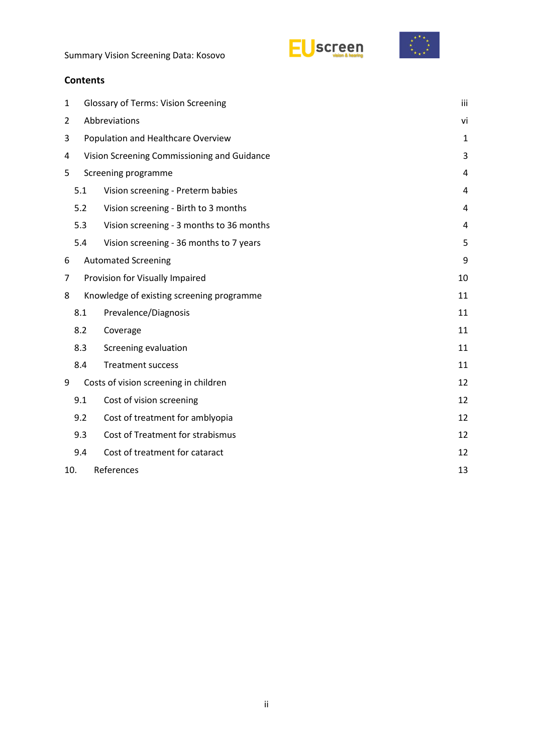



# **Contents**

| $\mathbf{1}$   | <b>Glossary of Terms: Vision Screening</b>  |                                           |                |  |  |  |  |
|----------------|---------------------------------------------|-------------------------------------------|----------------|--|--|--|--|
| $\overline{2}$ | Abbreviations                               |                                           |                |  |  |  |  |
| 3              | Population and Healthcare Overview          |                                           |                |  |  |  |  |
| 4              | Vision Screening Commissioning and Guidance |                                           |                |  |  |  |  |
| 5              |                                             | Screening programme                       | 4              |  |  |  |  |
|                | 5.1                                         | Vision screening - Preterm babies         | 4              |  |  |  |  |
|                | 5.2                                         | Vision screening - Birth to 3 months      | $\overline{4}$ |  |  |  |  |
|                | 5.3                                         | Vision screening - 3 months to 36 months  | 4              |  |  |  |  |
|                | 5.4                                         | Vision screening - 36 months to 7 years   | 5              |  |  |  |  |
| 6              |                                             | <b>Automated Screening</b>                | 9              |  |  |  |  |
| 7              | Provision for Visually Impaired             |                                           |                |  |  |  |  |
| 8              |                                             | Knowledge of existing screening programme | 11             |  |  |  |  |
|                | 8.1                                         | Prevalence/Diagnosis                      | 11             |  |  |  |  |
|                | 8.2                                         | Coverage                                  | 11             |  |  |  |  |
|                | 8.3                                         | Screening evaluation                      | 11             |  |  |  |  |
|                | 8.4                                         | <b>Treatment success</b>                  | 11             |  |  |  |  |
| 9              |                                             | Costs of vision screening in children     | 12             |  |  |  |  |
|                | 9.1                                         | Cost of vision screening                  | 12             |  |  |  |  |
|                | 9.2                                         | Cost of treatment for amblyopia           | 12             |  |  |  |  |
|                | 9.3                                         | Cost of Treatment for strabismus          | 12             |  |  |  |  |
|                | 9.4                                         | Cost of treatment for cataract            | 12             |  |  |  |  |
| 10.            | References<br>13                            |                                           |                |  |  |  |  |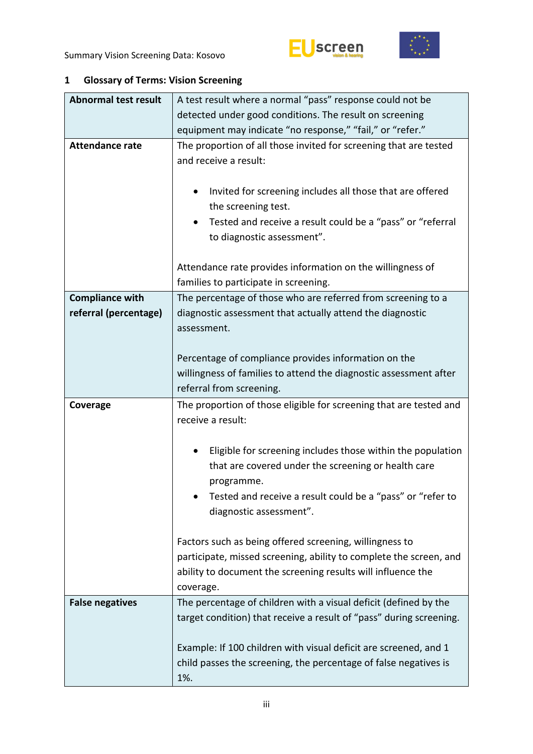

<span id="page-2-0"></span>

| 1 |  | <b>Glossary of Terms: Vision Screening</b> |
|---|--|--------------------------------------------|
|---|--|--------------------------------------------|

| <b>Abnormal test result</b> | A test result where a normal "pass" response could not be               |  |  |  |  |  |  |
|-----------------------------|-------------------------------------------------------------------------|--|--|--|--|--|--|
|                             | detected under good conditions. The result on screening                 |  |  |  |  |  |  |
|                             | equipment may indicate "no response," "fail," or "refer."               |  |  |  |  |  |  |
| <b>Attendance rate</b>      | The proportion of all those invited for screening that are tested       |  |  |  |  |  |  |
|                             | and receive a result:                                                   |  |  |  |  |  |  |
|                             |                                                                         |  |  |  |  |  |  |
|                             | Invited for screening includes all those that are offered<br>$\bullet$  |  |  |  |  |  |  |
|                             | the screening test.                                                     |  |  |  |  |  |  |
|                             | Tested and receive a result could be a "pass" or "referral              |  |  |  |  |  |  |
|                             | to diagnostic assessment".                                              |  |  |  |  |  |  |
|                             |                                                                         |  |  |  |  |  |  |
|                             | Attendance rate provides information on the willingness of              |  |  |  |  |  |  |
|                             | families to participate in screening.                                   |  |  |  |  |  |  |
| <b>Compliance with</b>      | The percentage of those who are referred from screening to a            |  |  |  |  |  |  |
| referral (percentage)       | diagnostic assessment that actually attend the diagnostic               |  |  |  |  |  |  |
|                             | assessment.                                                             |  |  |  |  |  |  |
|                             |                                                                         |  |  |  |  |  |  |
|                             | Percentage of compliance provides information on the                    |  |  |  |  |  |  |
|                             | willingness of families to attend the diagnostic assessment after       |  |  |  |  |  |  |
|                             | referral from screening.                                                |  |  |  |  |  |  |
|                             |                                                                         |  |  |  |  |  |  |
| Coverage                    | The proportion of those eligible for screening that are tested and      |  |  |  |  |  |  |
|                             | receive a result:                                                       |  |  |  |  |  |  |
|                             |                                                                         |  |  |  |  |  |  |
|                             | Eligible for screening includes those within the population             |  |  |  |  |  |  |
|                             | that are covered under the screening or health care                     |  |  |  |  |  |  |
|                             | programme.                                                              |  |  |  |  |  |  |
|                             | Tested and receive a result could be a "pass" or "refer to              |  |  |  |  |  |  |
|                             | diagnostic assessment".                                                 |  |  |  |  |  |  |
|                             |                                                                         |  |  |  |  |  |  |
|                             | Factors such as being offered screening, willingness to                 |  |  |  |  |  |  |
|                             | participate, missed screening, ability to complete the screen, and      |  |  |  |  |  |  |
|                             | ability to document the screening results will influence the            |  |  |  |  |  |  |
|                             | coverage.                                                               |  |  |  |  |  |  |
| <b>False negatives</b>      | The percentage of children with a visual deficit (defined by the        |  |  |  |  |  |  |
|                             | target condition) that receive a result of "pass" during screening.     |  |  |  |  |  |  |
|                             |                                                                         |  |  |  |  |  |  |
|                             | Example: If 100 children with visual deficit are screened, and 1        |  |  |  |  |  |  |
|                             | child passes the screening, the percentage of false negatives is<br>1%. |  |  |  |  |  |  |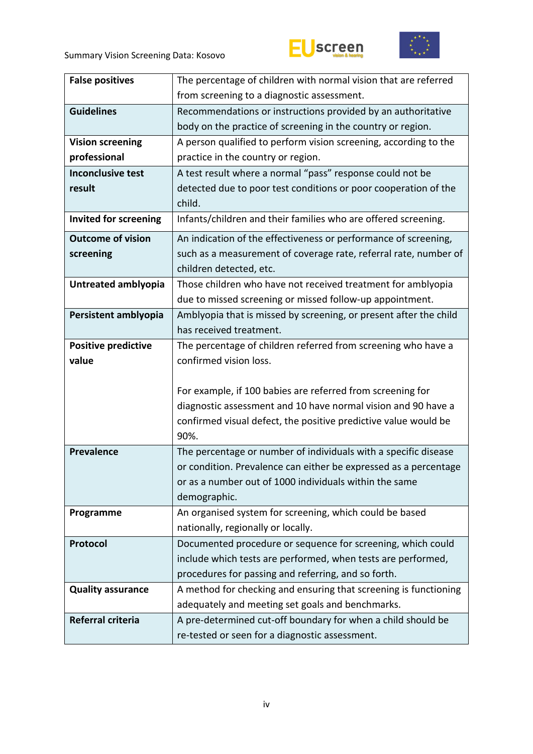



| <b>False positives</b>       | The percentage of children with normal vision that are referred   |
|------------------------------|-------------------------------------------------------------------|
|                              | from screening to a diagnostic assessment.                        |
| <b>Guidelines</b>            | Recommendations or instructions provided by an authoritative      |
|                              | body on the practice of screening in the country or region.       |
| <b>Vision screening</b>      | A person qualified to perform vision screening, according to the  |
| professional                 | practice in the country or region.                                |
| <b>Inconclusive test</b>     | A test result where a normal "pass" response could not be         |
| result                       | detected due to poor test conditions or poor cooperation of the   |
|                              | child.                                                            |
| <b>Invited for screening</b> | Infants/children and their families who are offered screening.    |
| <b>Outcome of vision</b>     | An indication of the effectiveness or performance of screening,   |
| screening                    | such as a measurement of coverage rate, referral rate, number of  |
|                              | children detected, etc.                                           |
| Untreated amblyopia          | Those children who have not received treatment for amblyopia      |
|                              | due to missed screening or missed follow-up appointment.          |
| Persistent amblyopia         | Amblyopia that is missed by screening, or present after the child |
|                              | has received treatment.                                           |
| <b>Positive predictive</b>   | The percentage of children referred from screening who have a     |
| value                        | confirmed vision loss.                                            |
|                              |                                                                   |
|                              | For example, if 100 babies are referred from screening for        |
|                              | diagnostic assessment and 10 have normal vision and 90 have a     |
|                              | confirmed visual defect, the positive predictive value would be   |
|                              | 90%.                                                              |
| <b>Prevalence</b>            | The percentage or number of individuals with a specific disease   |
|                              | or condition. Prevalence can either be expressed as a percentage  |
|                              | or as a number out of 1000 individuals within the same            |
|                              | demographic.                                                      |
| Programme                    | An organised system for screening, which could be based           |
|                              | nationally, regionally or locally.                                |
| Protocol                     | Documented procedure or sequence for screening, which could       |
|                              | include which tests are performed, when tests are performed,      |
|                              | procedures for passing and referring, and so forth.               |
| <b>Quality assurance</b>     | A method for checking and ensuring that screening is functioning  |
|                              | adequately and meeting set goals and benchmarks.                  |
| Referral criteria            | A pre-determined cut-off boundary for when a child should be      |
|                              | re-tested or seen for a diagnostic assessment.                    |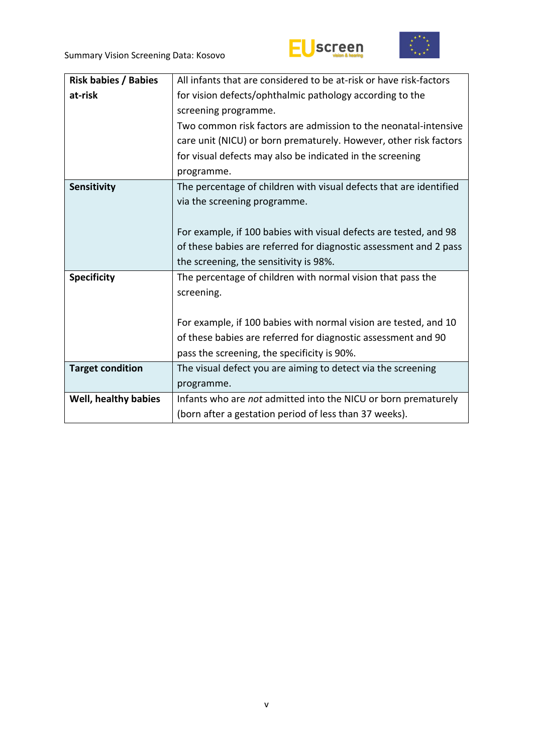



| <b>Risk babies / Babies</b> | All infants that are considered to be at-risk or have risk-factors |  |  |  |  |
|-----------------------------|--------------------------------------------------------------------|--|--|--|--|
| at-risk                     | for vision defects/ophthalmic pathology according to the           |  |  |  |  |
|                             | screening programme.                                               |  |  |  |  |
|                             | Two common risk factors are admission to the neonatal-intensive    |  |  |  |  |
|                             | care unit (NICU) or born prematurely. However, other risk factors  |  |  |  |  |
|                             | for visual defects may also be indicated in the screening          |  |  |  |  |
|                             | programme.                                                         |  |  |  |  |
| Sensitivity                 | The percentage of children with visual defects that are identified |  |  |  |  |
|                             | via the screening programme.                                       |  |  |  |  |
|                             |                                                                    |  |  |  |  |
|                             | For example, if 100 babies with visual defects are tested, and 98  |  |  |  |  |
|                             | of these babies are referred for diagnostic assessment and 2 pass  |  |  |  |  |
|                             | the screening, the sensitivity is 98%.                             |  |  |  |  |
| <b>Specificity</b>          | The percentage of children with normal vision that pass the        |  |  |  |  |
|                             | screening.                                                         |  |  |  |  |
|                             |                                                                    |  |  |  |  |
|                             | For example, if 100 babies with normal vision are tested, and 10   |  |  |  |  |
|                             | of these babies are referred for diagnostic assessment and 90      |  |  |  |  |
|                             | pass the screening, the specificity is 90%.                        |  |  |  |  |
| <b>Target condition</b>     | The visual defect you are aiming to detect via the screening       |  |  |  |  |
|                             | programme.                                                         |  |  |  |  |
| Well, healthy babies        | Infants who are not admitted into the NICU or born prematurely     |  |  |  |  |
|                             | (born after a gestation period of less than 37 weeks).             |  |  |  |  |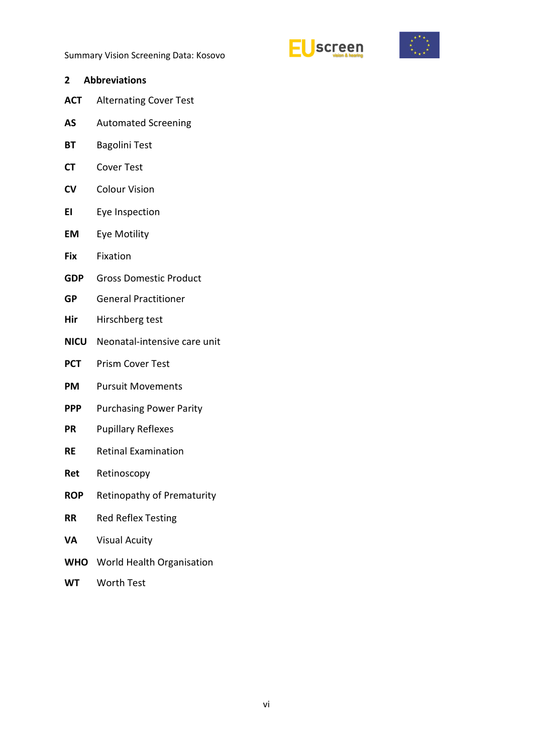



- <span id="page-5-0"></span>**2 Abbreviations ACT** Alternating Cover Test
- **AS** Automated Screening
- **BT** Bagolini Test
- **CT** Cover Test
- **CV** Colour Vision
- **EI** Eye Inspection
- **EM** Eye Motility
- **Fix** Fixation
- **GDP** Gross Domestic Product
- **GP** General Practitioner
- **Hir** Hirschberg test
- **NICU** Neonatal-intensive care unit
- **PCT** Prism Cover Test
- **PM** Pursuit Movements
- **PPP** Purchasing Power Parity
- **PR** Pupillary Reflexes
- **RE** Retinal Examination
- **Ret** Retinoscopy
- **ROP** Retinopathy of Prematurity
- **RR** Red Reflex Testing
- **VA** Visual Acuity
- **WHO** World Health Organisation
- **WT** Worth Test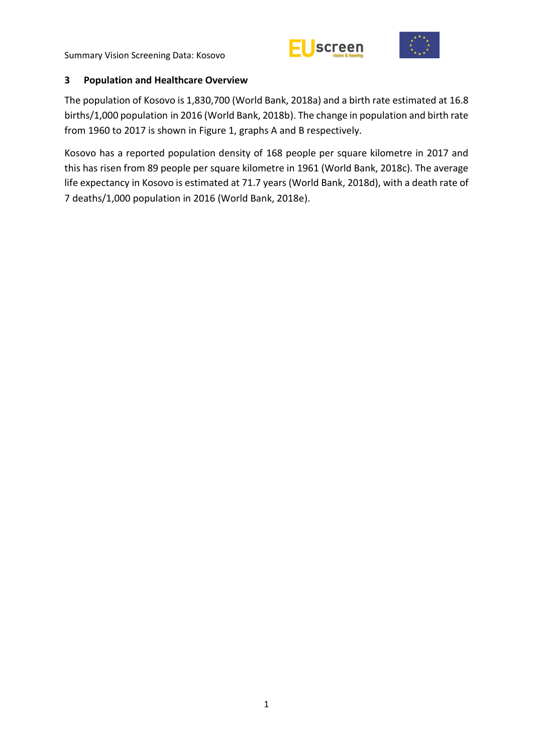



## <span id="page-6-0"></span>**3 Population and Healthcare Overview**

The population of Kosovo is 1,830,700 (World Bank, 2018a) and a birth rate estimated at 16.8 births/1,000 population in 2016 (World Bank, 2018b). The change in population and birth rate from 1960 to 2017 is shown in Figure 1, graphs A and B respectively.

Kosovo has a reported population density of 168 people per square kilometre in 2017 and this has risen from 89 people per square kilometre in 1961 (World Bank, 2018c). The average life expectancy in Kosovo is estimated at 71.7 years (World Bank, 2018d), with a death rate of 7 deaths/1,000 population in 2016 (World Bank, 2018e).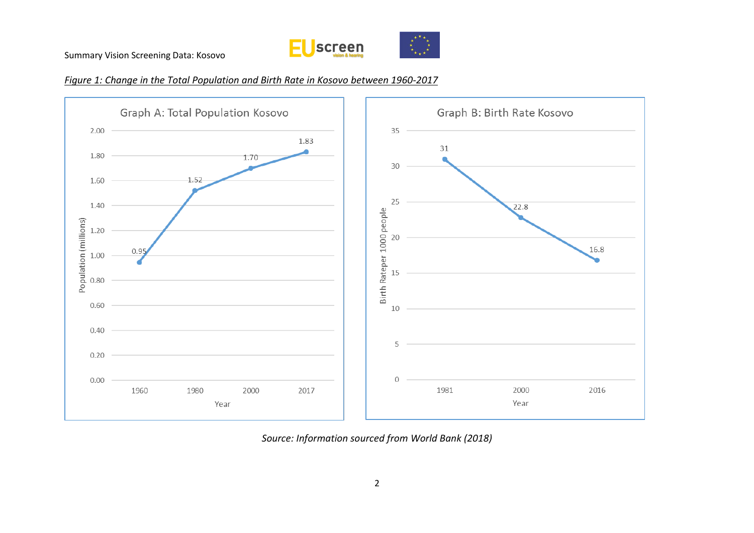







*Source: Information sourced from World Bank (2018)*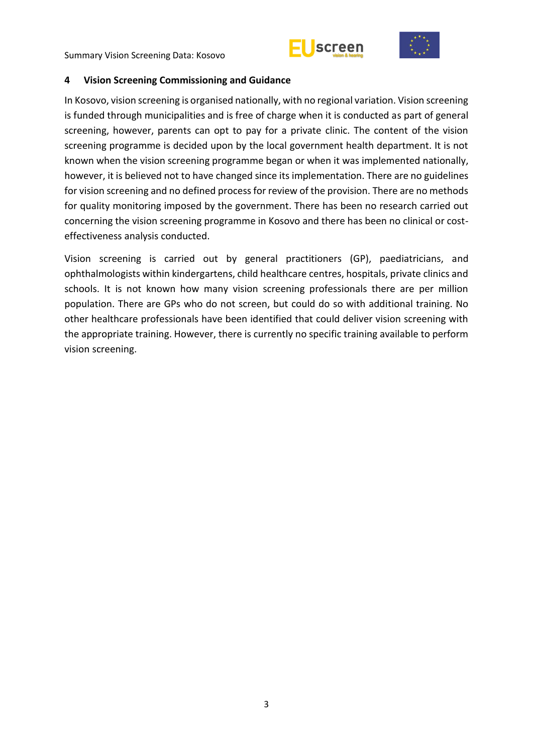



#### <span id="page-8-0"></span>**4 Vision Screening Commissioning and Guidance**

In Kosovo, vision screening is organised nationally, with no regional variation. Vision screening is funded through municipalities and is free of charge when it is conducted as part of general screening, however, parents can opt to pay for a private clinic. The content of the vision screening programme is decided upon by the local government health department. It is not known when the vision screening programme began or when it was implemented nationally, however, it is believed not to have changed since its implementation. There are no guidelines for vision screening and no defined process for review of the provision. There are no methods for quality monitoring imposed by the government. There has been no research carried out concerning the vision screening programme in Kosovo and there has been no clinical or costeffectiveness analysis conducted.

Vision screening is carried out by general practitioners (GP), paediatricians, and ophthalmologists within kindergartens, child healthcare centres, hospitals, private clinics and schools. It is not known how many vision screening professionals there are per million population. There are GPs who do not screen, but could do so with additional training. No other healthcare professionals have been identified that could deliver vision screening with the appropriate training. However, there is currently no specific training available to perform vision screening.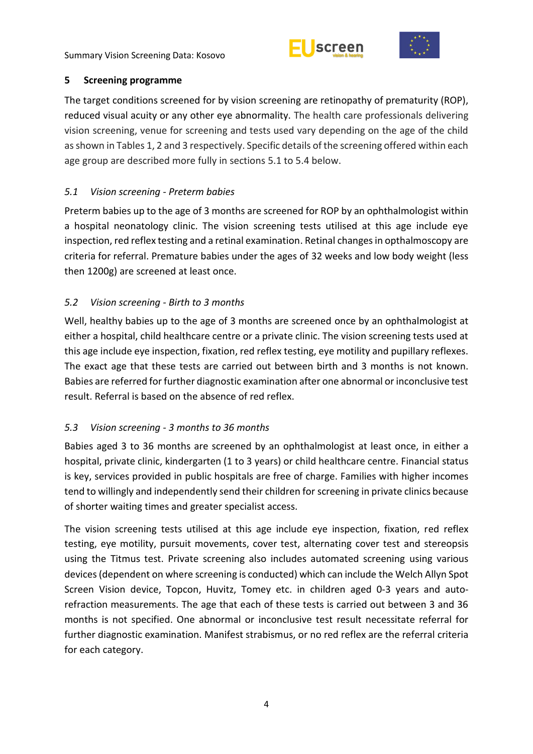



# <span id="page-9-0"></span>**5 Screening programme**

The target conditions screened for by vision screening are retinopathy of prematurity (ROP), reduced visual acuity or any other eye abnormality. The health care professionals delivering vision screening, venue for screening and tests used vary depending on the age of the child as shown in Tables 1, 2 and 3 respectively. Specific details of the screening offered within each age group are described more fully in sections 5.1 to 5.4 below.

# <span id="page-9-1"></span>*5.1 Vision screening - Preterm babies*

Preterm babies up to the age of 3 months are screened for ROP by an ophthalmologist within a hospital neonatology clinic. The vision screening tests utilised at this age include eye inspection, red reflex testing and a retinal examination. Retinal changes in opthalmoscopy are criteria for referral. Premature babies under the ages of 32 weeks and low body weight (less then 1200g) are screened at least once.

# <span id="page-9-2"></span>*5.2 Vision screening - Birth to 3 months*

Well, healthy babies up to the age of 3 months are screened once by an ophthalmologist at either a hospital, child healthcare centre or a private clinic. The vision screening tests used at this age include eye inspection, fixation, red reflex testing, eye motility and pupillary reflexes. The exact age that these tests are carried out between birth and 3 months is not known. Babies are referred for further diagnostic examination after one abnormal or inconclusive test result. Referral is based on the absence of red reflex.

# <span id="page-9-3"></span>*5.3 Vision screening - 3 months to 36 months*

Babies aged 3 to 36 months are screened by an ophthalmologist at least once, in either a hospital, private clinic, kindergarten (1 to 3 years) or child healthcare centre. Financial status is key, services provided in public hospitals are free of charge. Families with higher incomes tend to willingly and independently send their children for screening in private clinics because of shorter waiting times and greater specialist access.

The vision screening tests utilised at this age include eye inspection, fixation, red reflex testing, eye motility, pursuit movements, cover test, alternating cover test and stereopsis using the Titmus test. Private screening also includes automated screening using various devices (dependent on where screening is conducted) which can include the Welch Allyn Spot Screen Vision device, Topcon, Huvitz, Tomey etc. in children aged 0-3 years and autorefraction measurements. The age that each of these tests is carried out between 3 and 36 months is not specified. One abnormal or inconclusive test result necessitate referral for further diagnostic examination. Manifest strabismus, or no red reflex are the referral criteria for each category.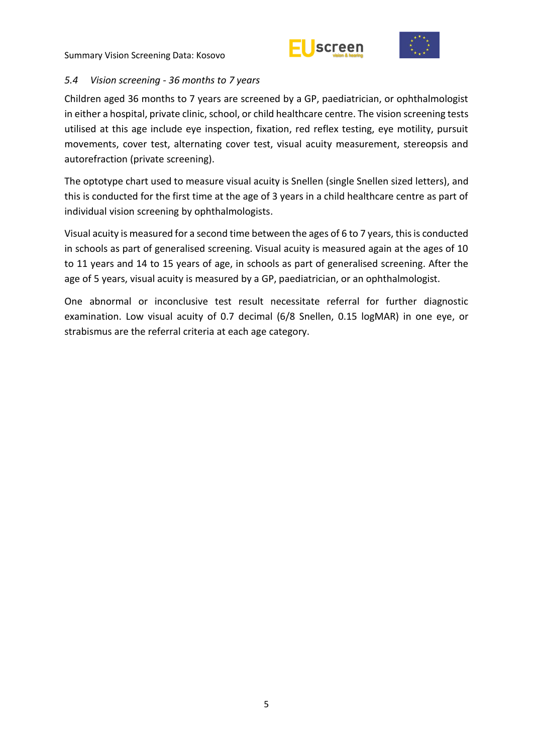



## <span id="page-10-0"></span>*5.4 Vision screening - 36 months to 7 years*

Children aged 36 months to 7 years are screened by a GP, paediatrician, or ophthalmologist in either a hospital, private clinic, school, or child healthcare centre. The vision screening tests utilised at this age include eye inspection, fixation, red reflex testing, eye motility, pursuit movements, cover test, alternating cover test, visual acuity measurement, stereopsis and autorefraction (private screening).

The optotype chart used to measure visual acuity is Snellen (single Snellen sized letters), and this is conducted for the first time at the age of 3 years in a child healthcare centre as part of individual vision screening by ophthalmologists.

Visual acuity is measured for a second time between the ages of 6 to 7 years, this is conducted in schools as part of generalised screening. Visual acuity is measured again at the ages of 10 to 11 years and 14 to 15 years of age, in schools as part of generalised screening. After the age of 5 years, visual acuity is measured by a GP, paediatrician, or an ophthalmologist.

One abnormal or inconclusive test result necessitate referral for further diagnostic examination. Low visual acuity of 0.7 decimal (6/8 Snellen, 0.15 logMAR) in one eye, or strabismus are the referral criteria at each age category.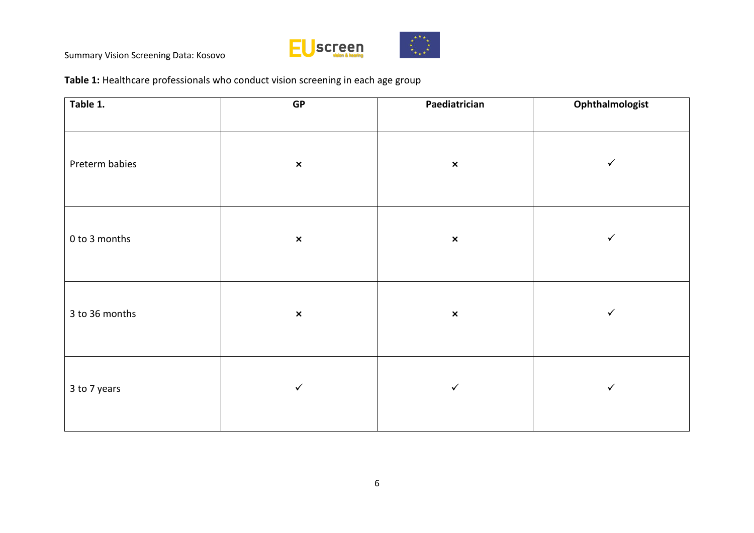

**Table 1:** Healthcare professionals who conduct vision screening in each age group

| Table 1.       | ${\sf GP}$     | Paediatrician  | Ophthalmologist |
|----------------|----------------|----------------|-----------------|
| Preterm babies | $\pmb{\times}$ | $\pmb{\times}$ | $\checkmark$    |
| 0 to 3 months  | $\pmb{\times}$ | $\pmb{\times}$ | $\checkmark$    |
| 3 to 36 months | $\pmb{\times}$ | $\pmb{\times}$ | ✓               |
| 3 to 7 years   | $\checkmark$   | $\checkmark$   | $\checkmark$    |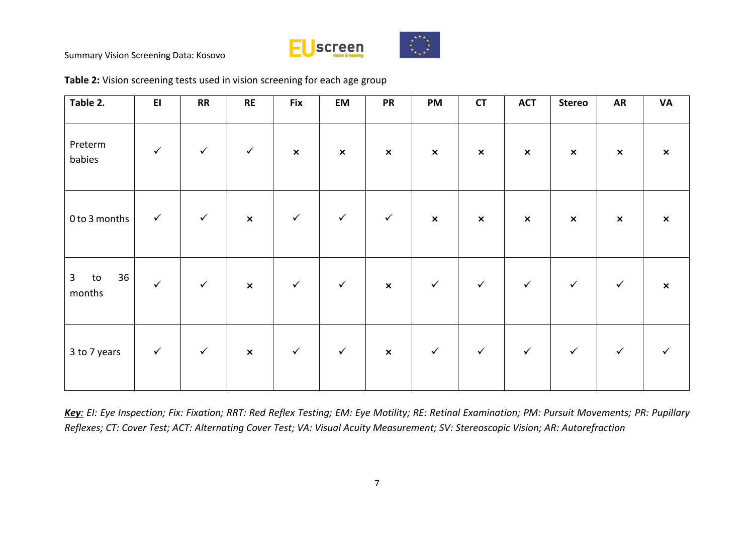



| Table 2.                           | E1           | RR           | RE             | <b>Fix</b>                | EM             | <b>PR</b>                 | <b>PM</b>      | CT             | <b>ACT</b>     | <b>Stereo</b>             | <b>AR</b>      | VA                        |
|------------------------------------|--------------|--------------|----------------|---------------------------|----------------|---------------------------|----------------|----------------|----------------|---------------------------|----------------|---------------------------|
| Preterm<br>babies                  | $\checkmark$ | $\checkmark$ | $\checkmark$   | $\boldsymbol{\mathsf{x}}$ | $\pmb{\times}$ | $\pmb{\times}$            | $\pmb{\times}$ | $\pmb{\times}$ | $\pmb{\times}$ | $\boldsymbol{\mathsf{x}}$ | $\pmb{\times}$ | $\boldsymbol{\mathsf{x}}$ |
| 0 to 3 months                      | $\checkmark$ | $\checkmark$ | $\pmb{\times}$ | $\checkmark$              | $\checkmark$   | $\checkmark$              | $\pmb{\times}$ | $\pmb{\times}$ | $\pmb{\times}$ | $\pmb{\times}$            | $\pmb{\times}$ | $\pmb{\times}$            |
| $\mathbf{3}$<br>36<br>to<br>months | $\checkmark$ | $\checkmark$ | $\pmb{\times}$ | $\checkmark$              | $\checkmark$   | $\mathsf{x}$              | $\checkmark$   | $\checkmark$   | $\checkmark$   | $\checkmark$              | $\checkmark$   | $\boldsymbol{\mathsf{x}}$ |
| 3 to 7 years                       | $\checkmark$ | $\checkmark$ | $\pmb{\times}$ | $\checkmark$              | $\checkmark$   | $\boldsymbol{\mathsf{x}}$ | ✓              | $\checkmark$   | $\checkmark$   | $\checkmark$              | $\checkmark$   |                           |

**Table 2:** Vision screening tests used in vision screening for each age group

*Key: EI: Eye Inspection; Fix: Fixation; RRT: Red Reflex Testing; EM: Eye Motility; RE: Retinal Examination; PM: Pursuit Movements; PR: Pupillary Reflexes; CT: Cover Test; ACT: Alternating Cover Test; VA: Visual Acuity Measurement; SV: Stereoscopic Vision; AR: Autorefraction*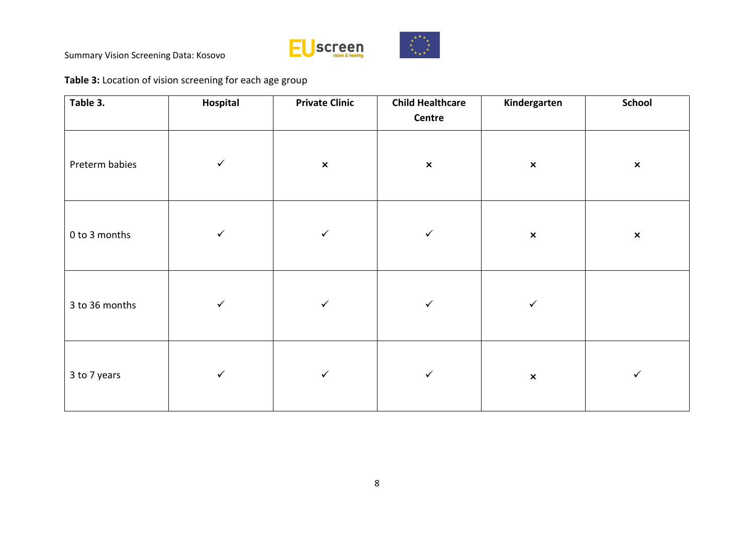

**Table 3:** Location of vision screening for each age group

| Table 3.       | Hospital     | <b>Private Clinic</b> | <b>Child Healthcare</b><br>Centre | Kindergarten   | <b>School</b>  |
|----------------|--------------|-----------------------|-----------------------------------|----------------|----------------|
| Preterm babies | $\checkmark$ | $\pmb{\times}$        | $\pmb{\times}$                    | $\pmb{\times}$ | $\pmb{\times}$ |
| 0 to 3 months  | $\checkmark$ | $\checkmark$          | $\checkmark$                      | $\pmb{\times}$ | $\pmb{\times}$ |
| 3 to 36 months | $\checkmark$ | $\checkmark$          | $\checkmark$                      | $\checkmark$   |                |
| 3 to 7 years   | $\checkmark$ | $\checkmark$          | $\checkmark$                      | $\pmb{\times}$ | ✓              |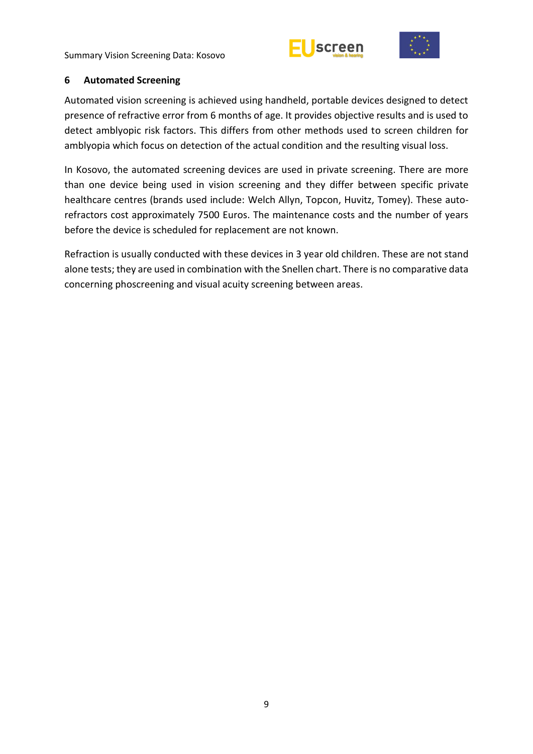



#### <span id="page-14-0"></span>**6 Automated Screening**

Automated vision screening is achieved using handheld, portable devices designed to detect presence of refractive error from 6 months of age. It provides objective results and is used to detect amblyopic risk factors. This differs from other methods used to screen children for amblyopia which focus on detection of the actual condition and the resulting visual loss.

In Kosovo, the automated screening devices are used in private screening. There are more than one device being used in vision screening and they differ between specific private healthcare centres (brands used include: Welch Allyn, Topcon, Huvitz, Tomey). These autorefractors cost approximately 7500 Euros. The maintenance costs and the number of years before the device is scheduled for replacement are not known.

Refraction is usually conducted with these devices in 3 year old children. These are not stand alone tests; they are used in combination with the Snellen chart. There is no comparative data concerning phoscreening and visual acuity screening between areas.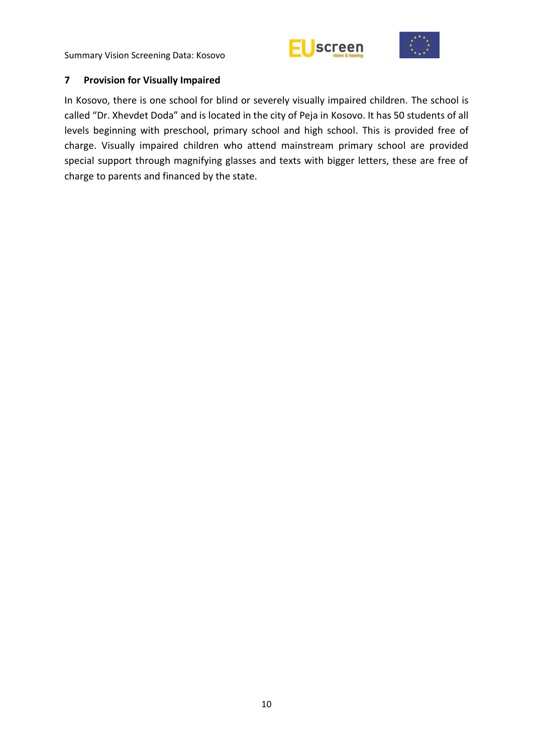



## <span id="page-15-0"></span>**7 Provision for Visually Impaired**

In Kosovo, there is one school for blind or severely visually impaired children. The school is called "Dr. Xhevdet Doda" and is located in the city of Peja in Kosovo. It has 50 students of all levels beginning with preschool, primary school and high school. This is provided free of charge. Visually impaired children who attend mainstream primary school are provided special support through magnifying glasses and texts with bigger letters, these are free of charge to parents and financed by the state.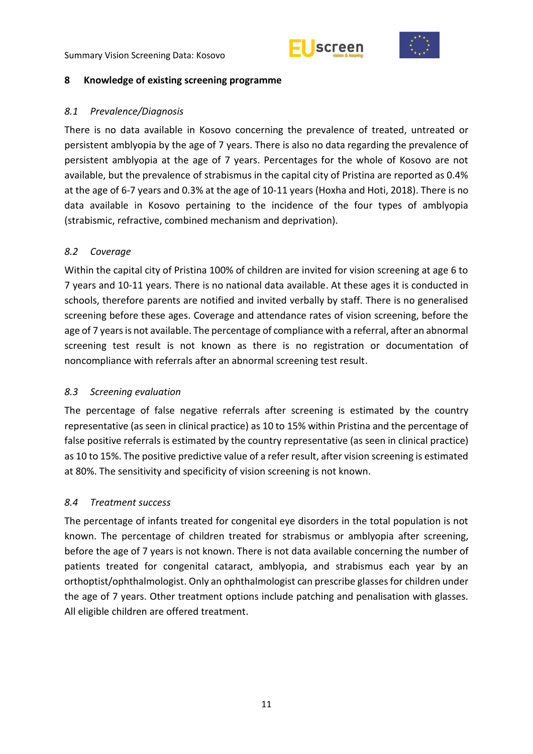



#### <span id="page-16-0"></span>**8 Knowledge of existing screening programme**

## <span id="page-16-1"></span>*8.1 Prevalence/Diagnosis*

There is no data available in Kosovo concerning the prevalence of treated, untreated or persistent amblyopia by the age of 7 years. There is also no data regarding the prevalence of persistent amblyopia at the age of 7 years. Percentages for the whole of Kosovo are not available, but the prevalence of strabismus in the capital city of Pristina are reported as 0.4% at the age of 6-7 years and 0.3% at the age of 10-11 years (Hoxha and Hoti, 2018). There is no data available in Kosovo pertaining to the incidence of the four types of amblyopia (strabismic, refractive, combined mechanism and deprivation).

## <span id="page-16-2"></span>*8.2 Coverage*

Within the capital city of Pristina 100% of children are invited for vision screening at age 6 to 7 years and 10-11 years. There is no national data available. At these ages it is conducted in schools, therefore parents are notified and invited verbally by staff. There is no generalised screening before these ages. Coverage and attendance rates of vision screening, before the age of 7 years is not available. The percentage of compliance with a referral, after an abnormal screening test result is not known as there is no registration or documentation of noncompliance with referrals after an abnormal screening test result.

## <span id="page-16-3"></span>*8.3 Screening evaluation*

The percentage of false negative referrals after screening is estimated by the country representative (as seen in clinical practice) as 10 to 15% within Pristina and the percentage of false positive referrals is estimated by the country representative (as seen in clinical practice) as 10 to 15%. The positive predictive value of a refer result, after vision screening is estimated at 80%. The sensitivity and specificity of vision screening is not known.

#### <span id="page-16-4"></span>*8.4 Treatment success*

The percentage of infants treated for congenital eye disorders in the total population is not known. The percentage of children treated for strabismus or amblyopia after screening, before the age of 7 years is not known. There is not data available concerning the number of patients treated for congenital cataract, amblyopia, and strabismus each year by an orthoptist/ophthalmologist. Only an ophthalmologist can prescribe glasses for children under the age of 7 years. Other treatment options include patching and penalisation with glasses. All eligible children are offered treatment.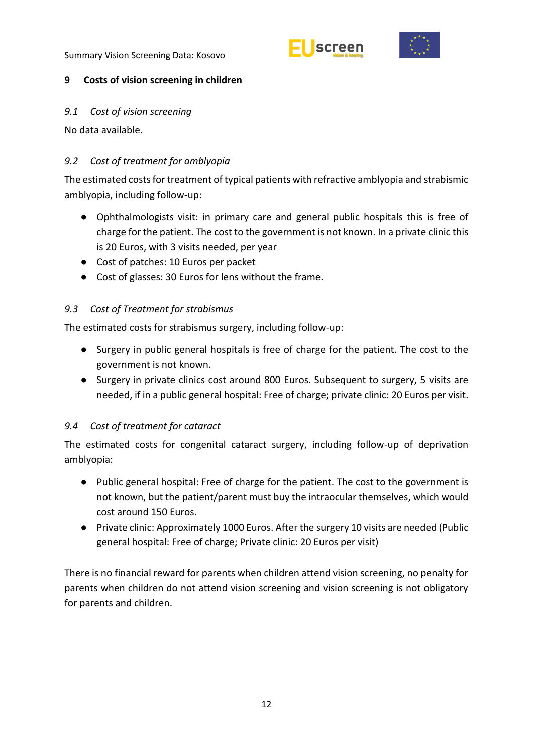



## <span id="page-17-0"></span>**9 Costs of vision screening in children**

## <span id="page-17-1"></span>*9.1 Cost of vision screening*

No data available.

# <span id="page-17-2"></span>*9.2 Cost of treatment for amblyopia*

The estimated costs for treatment of typical patients with refractive amblyopia and strabismic amblyopia, including follow-up:

- Ophthalmologists visit: in primary care and general public hospitals this is free of charge for the patient. The cost to the government is not known. In a private clinic this is 20 Euros, with 3 visits needed, per year
- Cost of patches: 10 Euros per packet
- Cost of glasses: 30 Euros for lens without the frame.

# <span id="page-17-3"></span>*9.3 Cost of Treatment for strabismus*

The estimated costs for strabismus surgery, including follow-up:

- Surgery in public general hospitals is free of charge for the patient. The cost to the government is not known.
- Surgery in private clinics cost around 800 Euros. Subsequent to surgery, 5 visits are needed, if in a public general hospital: Free of charge; private clinic: 20 Euros per visit.

# <span id="page-17-4"></span>*9.4 Cost of treatment for cataract*

The estimated costs for congenital cataract surgery, including follow-up of deprivation amblyopia:

- Public general hospital: Free of charge for the patient. The cost to the government is not known, but the patient/parent must buy the intraocular themselves, which would cost around 150 Euros.
- Private clinic: Approximately 1000 Euros. After the surgery 10 visits are needed (Public general hospital: Free of charge; Private clinic: 20 Euros per visit)

There is no financial reward for parents when children attend vision screening, no penalty for parents when children do not attend vision screening and vision screening is not obligatory for parents and children.